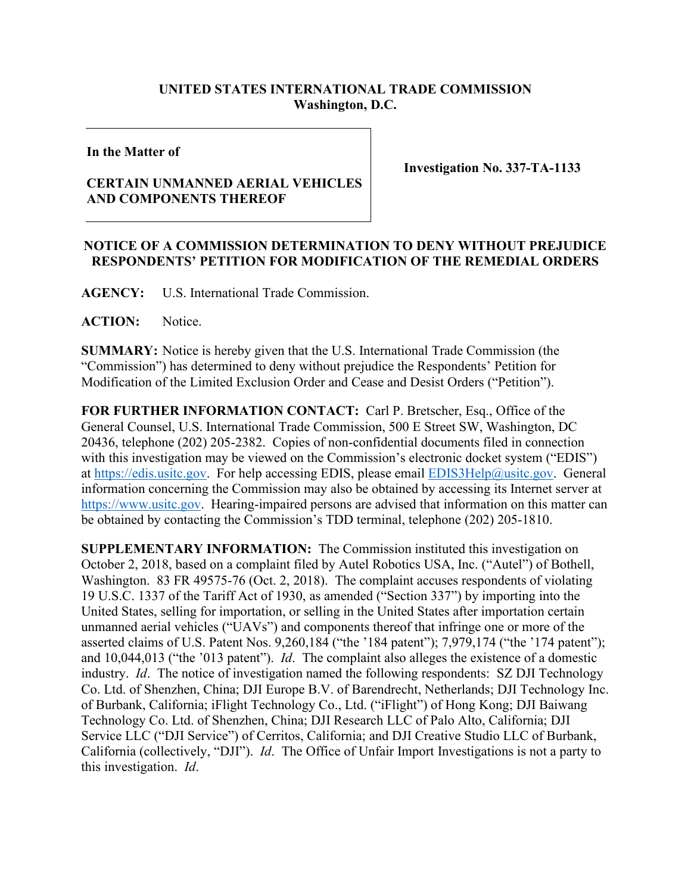## **UNITED STATES INTERNATIONAL TRADE COMMISSION Washington, D.C.**

## **In the Matter of**

## **CERTAIN UNMANNED AERIAL VEHICLES AND COMPONENTS THEREOF**

**Investigation No. 337-TA-1133**

## **NOTICE OF A COMMISSION DETERMINATION TO DENY WITHOUT PREJUDICE RESPONDENTS' PETITION FOR MODIFICATION OF THE REMEDIAL ORDERS**

**AGENCY:** U.S. International Trade Commission.

**ACTION:** Notice.

**SUMMARY:** Notice is hereby given that the U.S. International Trade Commission (the "Commission") has determined to deny without prejudice the Respondents' Petition for Modification of the Limited Exclusion Order and Cease and Desist Orders ("Petition").

**FOR FURTHER INFORMATION CONTACT:** Carl P. Bretscher, Esq., Office of the General Counsel, U.S. International Trade Commission, 500 E Street SW, Washington, DC 20436, telephone (202) 205-2382. Copies of non-confidential documents filed in connection with this investigation may be viewed on the Commission's electronic docket system ("EDIS") at [https://edis.usitc.gov.](https://edis.usitc.gov/) For help accessing EDIS, please email [EDIS3Help@usitc.gov.](mailto:EDIS3Help@usitc.gov) General information concerning the Commission may also be obtained by accessing its Internet server at [https://www.usitc.gov.](https://www.usitc.gov/) Hearing-impaired persons are advised that information on this matter can be obtained by contacting the Commission's TDD terminal, telephone (202) 205-1810.

**SUPPLEMENTARY INFORMATION:** The Commission instituted this investigation on October 2, 2018, based on a complaint filed by Autel Robotics USA, Inc. ("Autel") of Bothell, Washington. 83 FR 49575-76 (Oct. 2, 2018). The complaint accuses respondents of violating 19 U.S.C. 1337 of the Tariff Act of 1930, as amended ("Section 337") by importing into the United States, selling for importation, or selling in the United States after importation certain unmanned aerial vehicles ("UAVs") and components thereof that infringe one or more of the asserted claims of U.S. Patent Nos. 9,260,184 ("the '184 patent"); 7,979,174 ("the '174 patent"); and 10,044,013 ("the '013 patent"). *Id*. The complaint also alleges the existence of a domestic industry. *Id*. The notice of investigation named the following respondents: SZ DJI Technology Co. Ltd. of Shenzhen, China; DJI Europe B.V. of Barendrecht, Netherlands; DJI Technology Inc. of Burbank, California; iFlight Technology Co., Ltd. ("iFlight") of Hong Kong; DJI Baiwang Technology Co. Ltd. of Shenzhen, China; DJI Research LLC of Palo Alto, California; DJI Service LLC ("DJI Service") of Cerritos, California; and DJI Creative Studio LLC of Burbank, California (collectively, "DJI"). *Id*. The Office of Unfair Import Investigations is not a party to this investigation. *Id*.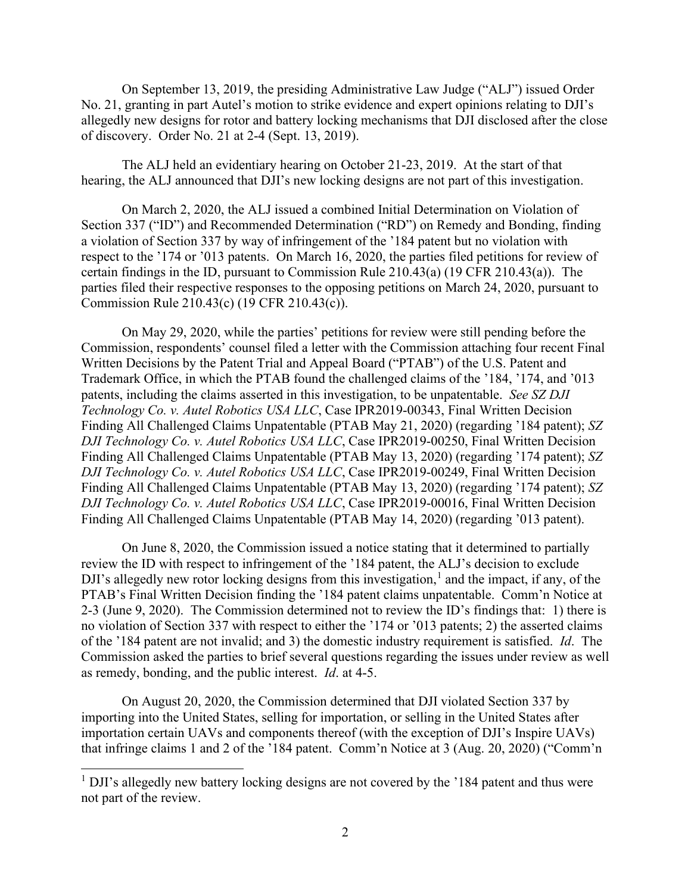On September 13, 2019, the presiding Administrative Law Judge ("ALJ") issued Order No. 21, granting in part Autel's motion to strike evidence and expert opinions relating to DJI's allegedly new designs for rotor and battery locking mechanisms that DJI disclosed after the close of discovery. Order No. 21 at 2-4 (Sept. 13, 2019).

The ALJ held an evidentiary hearing on October 21-23, 2019. At the start of that hearing, the ALJ announced that DJI's new locking designs are not part of this investigation.

On March 2, 2020, the ALJ issued a combined Initial Determination on Violation of Section 337 ("ID") and Recommended Determination ("RD") on Remedy and Bonding, finding a violation of Section 337 by way of infringement of the '184 patent but no violation with respect to the '174 or '013 patents. On March 16, 2020, the parties filed petitions for review of certain findings in the ID, pursuant to Commission Rule 210.43(a) (19 CFR 210.43(a)). The parties filed their respective responses to the opposing petitions on March 24, 2020, pursuant to Commission Rule 210.43(c) (19 CFR 210.43(c)).

On May 29, 2020, while the parties' petitions for review were still pending before the Commission, respondents' counsel filed a letter with the Commission attaching four recent Final Written Decisions by the Patent Trial and Appeal Board ("PTAB") of the U.S. Patent and Trademark Office, in which the PTAB found the challenged claims of the '184, '174, and '013 patents, including the claims asserted in this investigation, to be unpatentable. *See SZ DJI Technology Co. v. Autel Robotics USA LLC*, Case IPR2019-00343, Final Written Decision Finding All Challenged Claims Unpatentable (PTAB May 21, 2020) (regarding '184 patent); *SZ DJI Technology Co. v. Autel Robotics USA LLC*, Case IPR2019-00250, Final Written Decision Finding All Challenged Claims Unpatentable (PTAB May 13, 2020) (regarding '174 patent); *SZ DJI Technology Co. v. Autel Robotics USA LLC*, Case IPR2019-00249, Final Written Decision Finding All Challenged Claims Unpatentable (PTAB May 13, 2020) (regarding '174 patent); *SZ DJI Technology Co. v. Autel Robotics USA LLC*, Case IPR2019-00016, Final Written Decision Finding All Challenged Claims Unpatentable (PTAB May 14, 2020) (regarding '013 patent).

On June 8, 2020, the Commission issued a notice stating that it determined to partially review the ID with respect to infringement of the '184 patent, the ALJ's decision to exclude DJI's allegedly new rotor locking designs from this investigation, [1](#page-1-0) and the impact, if any, of the PTAB's Final Written Decision finding the '184 patent claims unpatentable. Comm'n Notice at 2-3 (June 9, 2020). The Commission determined not to review the ID's findings that: 1) there is no violation of Section 337 with respect to either the '174 or '013 patents; 2) the asserted claims of the '184 patent are not invalid; and 3) the domestic industry requirement is satisfied. *Id*. The Commission asked the parties to brief several questions regarding the issues under review as well as remedy, bonding, and the public interest. *Id*. at 4-5.

On August 20, 2020, the Commission determined that DJI violated Section 337 by importing into the United States, selling for importation, or selling in the United States after importation certain UAVs and components thereof (with the exception of DJI's Inspire UAVs) that infringe claims 1 and 2 of the '184 patent. Comm'n Notice at 3 (Aug. 20, 2020) ("Comm'n

<span id="page-1-0"></span> $1$  DJI's allegedly new battery locking designs are not covered by the  $184$  patent and thus were not part of the review.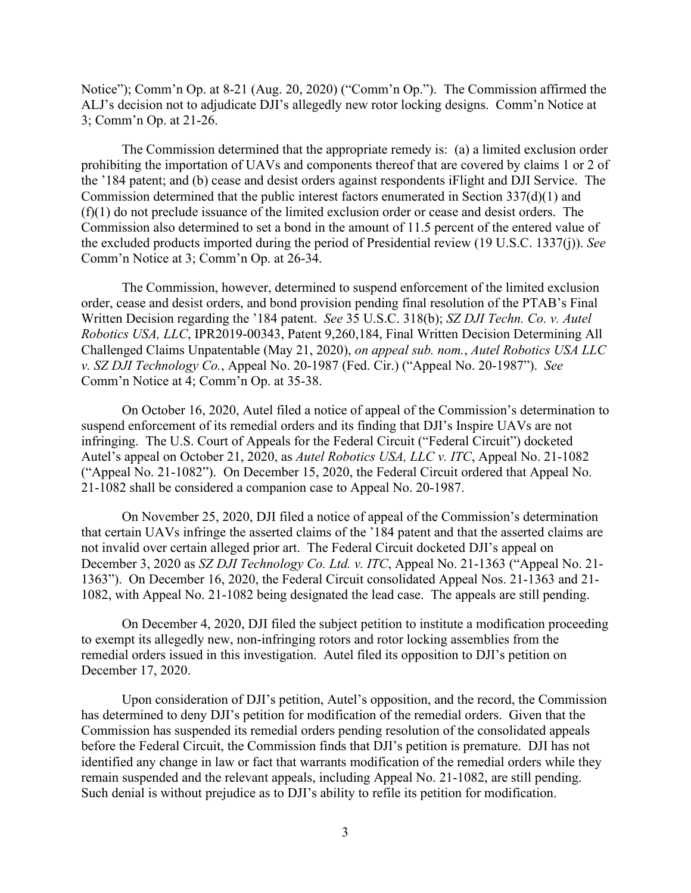Notice"); Comm'n Op. at 8-21 (Aug. 20, 2020) ("Comm'n Op."). The Commission affirmed the ALJ's decision not to adjudicate DJI's allegedly new rotor locking designs. Comm'n Notice at 3; Comm'n Op. at 21-26.

The Commission determined that the appropriate remedy is: (a) a limited exclusion order prohibiting the importation of UAVs and components thereof that are covered by claims 1 or 2 of the '184 patent; and (b) cease and desist orders against respondents iFlight and DJI Service. The Commission determined that the public interest factors enumerated in Section 337(d)(1) and (f)(1) do not preclude issuance of the limited exclusion order or cease and desist orders. The Commission also determined to set a bond in the amount of 11.5 percent of the entered value of the excluded products imported during the period of Presidential review (19 U.S.C. 1337(j)). *See*  Comm'n Notice at 3; Comm'n Op. at 26-34.

The Commission, however, determined to suspend enforcement of the limited exclusion order, cease and desist orders, and bond provision pending final resolution of the PTAB's Final Written Decision regarding the '184 patent. *See* 35 U.S.C. 318(b); *SZ DJI Techn. Co. v. Autel Robotics USA, LLC*, IPR2019-00343, Patent 9,260,184, Final Written Decision Determining All Challenged Claims Unpatentable (May 21, 2020), *on appeal sub. nom.*, *Autel Robotics USA LLC v. SZ DJI Technology Co.*, Appeal No. 20-1987 (Fed. Cir.) ("Appeal No. 20-1987"). *See*  Comm'n Notice at 4; Comm'n Op. at 35-38.

On October 16, 2020, Autel filed a notice of appeal of the Commission's determination to suspend enforcement of its remedial orders and its finding that DJI's Inspire UAVs are not infringing. The U.S. Court of Appeals for the Federal Circuit ("Federal Circuit") docketed Autel's appeal on October 21, 2020, as *Autel Robotics USA, LLC v. ITC*, Appeal No. 21-1082 ("Appeal No. 21-1082"). On December 15, 2020, the Federal Circuit ordered that Appeal No. 21-1082 shall be considered a companion case to Appeal No. 20-1987.

On November 25, 2020, DJI filed a notice of appeal of the Commission's determination that certain UAVs infringe the asserted claims of the '184 patent and that the asserted claims are not invalid over certain alleged prior art. The Federal Circuit docketed DJI's appeal on December 3, 2020 as *SZ DJI Technology Co. Ltd. v. ITC*, Appeal No. 21-1363 ("Appeal No. 21- 1363"). On December 16, 2020, the Federal Circuit consolidated Appeal Nos. 21-1363 and 21- 1082, with Appeal No. 21-1082 being designated the lead case. The appeals are still pending.

On December 4, 2020, DJI filed the subject petition to institute a modification proceeding to exempt its allegedly new, non-infringing rotors and rotor locking assemblies from the remedial orders issued in this investigation. Autel filed its opposition to DJI's petition on December 17, 2020.

Upon consideration of DJI's petition, Autel's opposition, and the record, the Commission has determined to deny DJI's petition for modification of the remedial orders. Given that the Commission has suspended its remedial orders pending resolution of the consolidated appeals before the Federal Circuit, the Commission finds that DJI's petition is premature. DJI has not identified any change in law or fact that warrants modification of the remedial orders while they remain suspended and the relevant appeals, including Appeal No. 21-1082, are still pending. Such denial is without prejudice as to DJI's ability to refile its petition for modification.